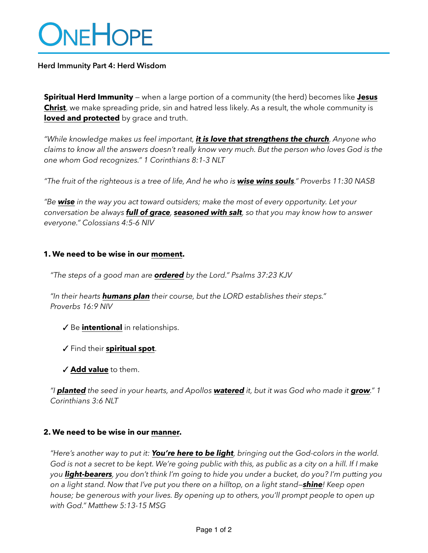# ONEHOPE

## **Herd Immunity Part 4: Herd Wisdom**

**Spiritual Herd Immunity** — when a large portion of a community (the herd) becomes like **Jesus Christ**, we make spreading pride, sin and hatred less likely. As a result, the whole community is **loved and protected** by grace and truth.

*"While knowledge makes us feel important, it is love that strengthens the church. Anyone who claims to know all the answers doesn't really know very much. But the person who loves God is the one whom God recognizes." 1 Corinthians 8:1-3 NLT*

*"The fruit of the righteous is a tree of life, And he who is wise wins souls." Proverbs 11:30 NASB*

*"Be wise in the way you act toward outsiders; make the most of every opportunity. Let your conversation be always full of grace, seasoned with salt, so that you may know how to answer everyone." Colossians 4:5-6 NIV*

### **1. We need to be wise in our moment.**

*"The steps of a good man are ordered by the Lord." Psalms 37:23 KJV*

*"In their hearts humans plan their course, but the LORD establishes their steps." Proverbs 16:9 NIV*

- ✓ Be **intentional** in relationships.
- ✓ Find their **spiritual spot**.
- ✓ **Add value** to them.

*"I planted the seed in your hearts, and Apollos watered it, but it was God who made it grow." 1 Corinthians 3:6 NLT*

#### **2. We need to be wise in our manner.**

*"Here's another way to put it: You're here to be light, bringing out the God-colors in the world. God is not a secret to be kept. We're going public with this, as public as a city on a hill. If I make you light-bearers, you don't think I'm going to hide you under a bucket, do you? I'm putting you on a light stand. Now that I've put you there on a hilltop, on a light stand—shine! Keep open house; be generous with your lives. By opening up to others, you'll prompt people to open up with God." Matthew 5:13-15 MSG*